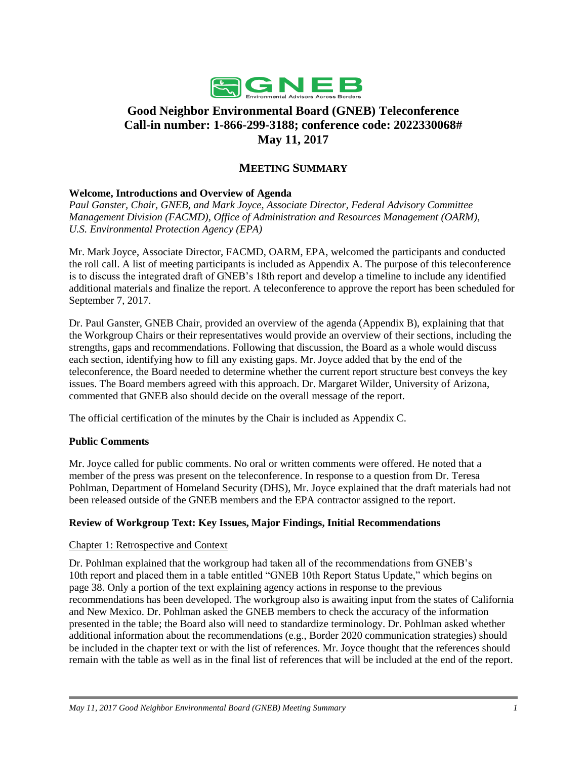

# **Good Neighbor Environmental Board (GNEB) Teleconference Call-in number: 1-866-299-3188; conference code: 2022330068# May 11, 2017**

# **MEETING SUMMARY**

### **Welcome, Introductions and Overview of Agenda**

*Paul Ganster, Chair, GNEB, and Mark Joyce, Associate Director, Federal Advisory Committee Management Division (FACMD), Office of Administration and Resources Management (OARM), U.S. Environmental Protection Agency (EPA)*

Mr. Mark Joyce, Associate Director, FACMD, OARM, EPA, welcomed the participants and conducted the roll call. A list of meeting participants is included as Appendix A. The purpose of this teleconference is to discuss the integrated draft of GNEB's 18th report and develop a timeline to include any identified additional materials and finalize the report. A teleconference to approve the report has been scheduled for September 7, 2017.

Dr. Paul Ganster, GNEB Chair, provided an overview of the agenda (Appendix B), explaining that that the Workgroup Chairs or their representatives would provide an overview of their sections, including the strengths, gaps and recommendations. Following that discussion, the Board as a whole would discuss each section, identifying how to fill any existing gaps. Mr. Joyce added that by the end of the teleconference, the Board needed to determine whether the current report structure best conveys the key issues. The Board members agreed with this approach. Dr. Margaret Wilder, University of Arizona, commented that GNEB also should decide on the overall message of the report.

The official certification of the minutes by the Chair is included as Appendix C.

### **Public Comments**

Mr. Joyce called for public comments. No oral or written comments were offered. He noted that a member of the press was present on the teleconference. In response to a question from Dr. Teresa Pohlman, Department of Homeland Security (DHS), Mr. Joyce explained that the draft materials had not been released outside of the GNEB members and the EPA contractor assigned to the report.

#### **Review of Workgroup Text: Key Issues, Major Findings, Initial Recommendations**

#### Chapter 1: Retrospective and Context

Dr. Pohlman explained that the workgroup had taken all of the recommendations from GNEB's 10th report and placed them in a table entitled "GNEB 10th Report Status Update," which begins on page 38. Only a portion of the text explaining agency actions in response to the previous recommendations has been developed. The workgroup also is awaiting input from the states of California and New Mexico. Dr. Pohlman asked the GNEB members to check the accuracy of the information presented in the table; the Board also will need to standardize terminology. Dr. Pohlman asked whether additional information about the recommendations (e.g., Border 2020 communication strategies) should be included in the chapter text or with the list of references. Mr. Joyce thought that the references should remain with the table as well as in the final list of references that will be included at the end of the report.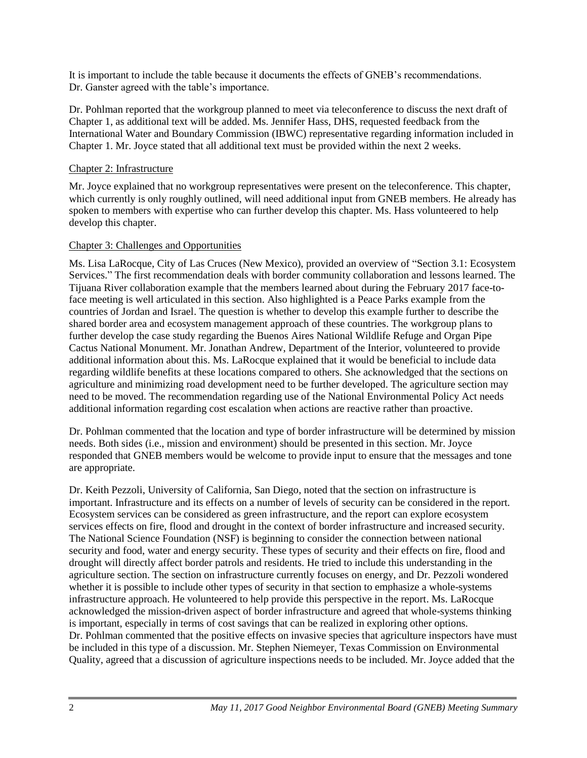It is important to include the table because it documents the effects of GNEB's recommendations. Dr. Ganster agreed with the table's importance.

Dr. Pohlman reported that the workgroup planned to meet via teleconference to discuss the next draft of Chapter 1, as additional text will be added. Ms. Jennifer Hass, DHS, requested feedback from the International Water and Boundary Commission (IBWC) representative regarding information included in Chapter 1. Mr. Joyce stated that all additional text must be provided within the next 2 weeks.

### Chapter 2: Infrastructure

Mr. Joyce explained that no workgroup representatives were present on the teleconference. This chapter, which currently is only roughly outlined, will need additional input from GNEB members. He already has spoken to members with expertise who can further develop this chapter. Ms. Hass volunteered to help develop this chapter.

### Chapter 3: Challenges and Opportunities

Ms. Lisa LaRocque, City of Las Cruces (New Mexico), provided an overview of "Section 3.1: Ecosystem Services." The first recommendation deals with border community collaboration and lessons learned. The Tijuana River collaboration example that the members learned about during the February 2017 face-toface meeting is well articulated in this section. Also highlighted is a Peace Parks example from the countries of Jordan and Israel. The question is whether to develop this example further to describe the shared border area and ecosystem management approach of these countries. The workgroup plans to further develop the case study regarding the Buenos Aires National Wildlife Refuge and Organ Pipe Cactus National Monument. Mr. Jonathan Andrew, Department of the Interior, volunteered to provide additional information about this. Ms. LaRocque explained that it would be beneficial to include data regarding wildlife benefits at these locations compared to others. She acknowledged that the sections on agriculture and minimizing road development need to be further developed. The agriculture section may need to be moved. The recommendation regarding use of the National Environmental Policy Act needs additional information regarding cost escalation when actions are reactive rather than proactive.

Dr. Pohlman commented that the location and type of border infrastructure will be determined by mission needs. Both sides (i.e., mission and environment) should be presented in this section. Mr. Joyce responded that GNEB members would be welcome to provide input to ensure that the messages and tone are appropriate.

Dr. Keith Pezzoli, University of California, San Diego, noted that the section on infrastructure is important. Infrastructure and its effects on a number of levels of security can be considered in the report. Ecosystem services can be considered as green infrastructure, and the report can explore ecosystem services effects on fire, flood and drought in the context of border infrastructure and increased security. The National Science Foundation (NSF) is beginning to consider the connection between national security and food, water and energy security. These types of security and their effects on fire, flood and drought will directly affect border patrols and residents. He tried to include this understanding in the agriculture section. The section on infrastructure currently focuses on energy, and Dr. Pezzoli wondered whether it is possible to include other types of security in that section to emphasize a whole-systems infrastructure approach. He volunteered to help provide this perspective in the report. Ms. LaRocque acknowledged the mission-driven aspect of border infrastructure and agreed that whole-systems thinking is important, especially in terms of cost savings that can be realized in exploring other options. Dr. Pohlman commented that the positive effects on invasive species that agriculture inspectors have must be included in this type of a discussion. Mr. Stephen Niemeyer, Texas Commission on Environmental Quality, agreed that a discussion of agriculture inspections needs to be included. Mr. Joyce added that the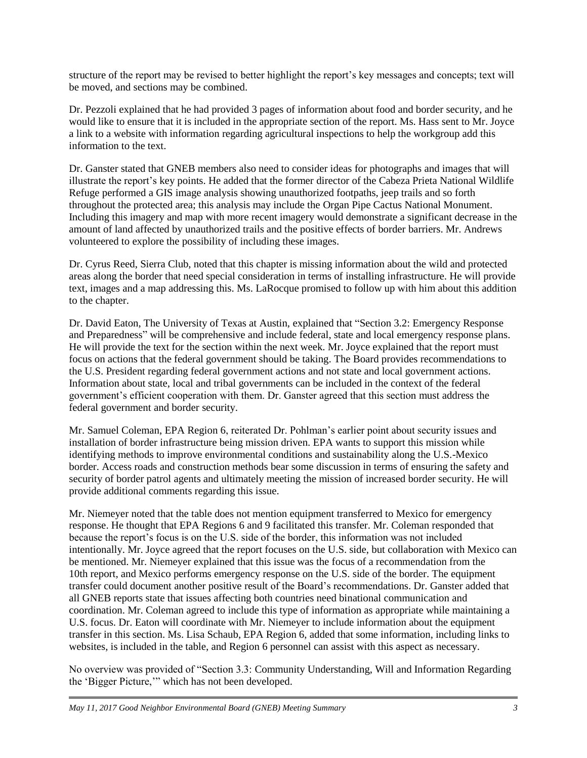structure of the report may be revised to better highlight the report's key messages and concepts; text will be moved, and sections may be combined.

Dr. Pezzoli explained that he had provided 3 pages of information about food and border security, and he would like to ensure that it is included in the appropriate section of the report. Ms. Hass sent to Mr. Joyce a link to a website with information regarding agricultural inspections to help the workgroup add this information to the text.

Dr. Ganster stated that GNEB members also need to consider ideas for photographs and images that will illustrate the report's key points. He added that the former director of the Cabeza Prieta National Wildlife Refuge performed a GIS image analysis showing unauthorized footpaths, jeep trails and so forth throughout the protected area; this analysis may include the Organ Pipe Cactus National Monument. Including this imagery and map with more recent imagery would demonstrate a significant decrease in the amount of land affected by unauthorized trails and the positive effects of border barriers. Mr. Andrews volunteered to explore the possibility of including these images.

Dr. Cyrus Reed, Sierra Club, noted that this chapter is missing information about the wild and protected areas along the border that need special consideration in terms of installing infrastructure. He will provide text, images and a map addressing this. Ms. LaRocque promised to follow up with him about this addition to the chapter.

Dr. David Eaton, The University of Texas at Austin, explained that "Section 3.2: Emergency Response and Preparedness" will be comprehensive and include federal, state and local emergency response plans. He will provide the text for the section within the next week. Mr. Joyce explained that the report must focus on actions that the federal government should be taking. The Board provides recommendations to the U.S. President regarding federal government actions and not state and local government actions. Information about state, local and tribal governments can be included in the context of the federal government's efficient cooperation with them. Dr. Ganster agreed that this section must address the federal government and border security.

Mr. Samuel Coleman, EPA Region 6, reiterated Dr. Pohlman's earlier point about security issues and installation of border infrastructure being mission driven. EPA wants to support this mission while identifying methods to improve environmental conditions and sustainability along the U.S.-Mexico border. Access roads and construction methods bear some discussion in terms of ensuring the safety and security of border patrol agents and ultimately meeting the mission of increased border security. He will provide additional comments regarding this issue.

Mr. Niemeyer noted that the table does not mention equipment transferred to Mexico for emergency response. He thought that EPA Regions 6 and 9 facilitated this transfer. Mr. Coleman responded that because the report's focus is on the U.S. side of the border, this information was not included intentionally. Mr. Joyce agreed that the report focuses on the U.S. side, but collaboration with Mexico can be mentioned. Mr. Niemeyer explained that this issue was the focus of a recommendation from the 10th report, and Mexico performs emergency response on the U.S. side of the border. The equipment transfer could document another positive result of the Board's recommendations. Dr. Ganster added that all GNEB reports state that issues affecting both countries need binational communication and coordination. Mr. Coleman agreed to include this type of information as appropriate while maintaining a U.S. focus. Dr. Eaton will coordinate with Mr. Niemeyer to include information about the equipment transfer in this section. Ms. Lisa Schaub, EPA Region 6, added that some information, including links to websites, is included in the table, and Region 6 personnel can assist with this aspect as necessary.

No overview was provided of "Section 3.3: Community Understanding, Will and Information Regarding the 'Bigger Picture,'" which has not been developed.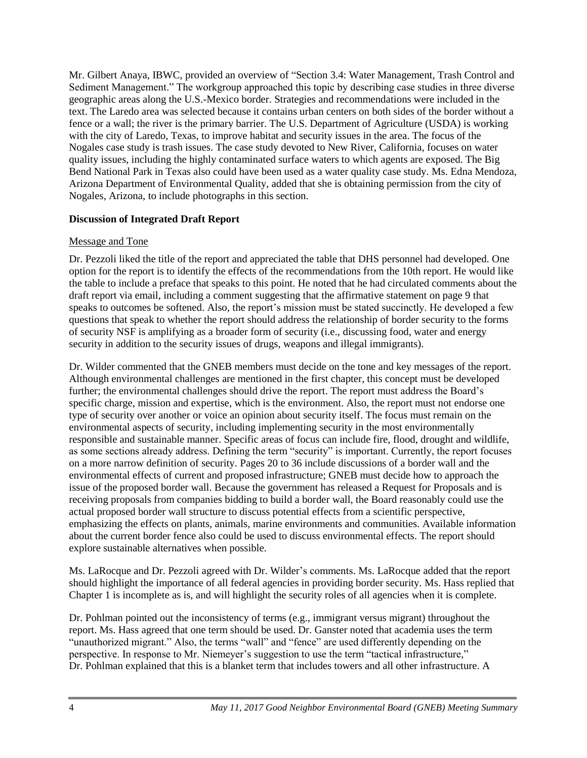Mr. Gilbert Anaya, IBWC, provided an overview of "Section 3.4: Water Management, Trash Control and Sediment Management." The workgroup approached this topic by describing case studies in three diverse geographic areas along the U.S.-Mexico border. Strategies and recommendations were included in the text. The Laredo area was selected because it contains urban centers on both sides of the border without a fence or a wall; the river is the primary barrier. The U.S. Department of Agriculture (USDA) is working with the city of Laredo, Texas, to improve habitat and security issues in the area. The focus of the Nogales case study is trash issues. The case study devoted to New River, California, focuses on water quality issues, including the highly contaminated surface waters to which agents are exposed. The Big Bend National Park in Texas also could have been used as a water quality case study. Ms. Edna Mendoza, Arizona Department of Environmental Quality, added that she is obtaining permission from the city of Nogales, Arizona, to include photographs in this section.

### **Discussion of Integrated Draft Report**

### Message and Tone

Dr. Pezzoli liked the title of the report and appreciated the table that DHS personnel had developed. One option for the report is to identify the effects of the recommendations from the 10th report. He would like the table to include a preface that speaks to this point. He noted that he had circulated comments about the draft report via email, including a comment suggesting that the affirmative statement on page 9 that speaks to outcomes be softened. Also, the report's mission must be stated succinctly. He developed a few questions that speak to whether the report should address the relationship of border security to the forms of security NSF is amplifying as a broader form of security (i.e., discussing food, water and energy security in addition to the security issues of drugs, weapons and illegal immigrants).

Dr. Wilder commented that the GNEB members must decide on the tone and key messages of the report. Although environmental challenges are mentioned in the first chapter, this concept must be developed further; the environmental challenges should drive the report. The report must address the Board's specific charge, mission and expertise, which is the environment. Also, the report must not endorse one type of security over another or voice an opinion about security itself. The focus must remain on the environmental aspects of security, including implementing security in the most environmentally responsible and sustainable manner. Specific areas of focus can include fire, flood, drought and wildlife, as some sections already address. Defining the term "security" is important. Currently, the report focuses on a more narrow definition of security. Pages 20 to 36 include discussions of a border wall and the environmental effects of current and proposed infrastructure; GNEB must decide how to approach the issue of the proposed border wall. Because the government has released a Request for Proposals and is receiving proposals from companies bidding to build a border wall, the Board reasonably could use the actual proposed border wall structure to discuss potential effects from a scientific perspective, emphasizing the effects on plants, animals, marine environments and communities. Available information about the current border fence also could be used to discuss environmental effects. The report should explore sustainable alternatives when possible.

Ms. LaRocque and Dr. Pezzoli agreed with Dr. Wilder's comments. Ms. LaRocque added that the report should highlight the importance of all federal agencies in providing border security. Ms. Hass replied that Chapter 1 is incomplete as is, and will highlight the security roles of all agencies when it is complete.

Dr. Pohlman pointed out the inconsistency of terms (e.g., immigrant versus migrant) throughout the report. Ms. Hass agreed that one term should be used. Dr. Ganster noted that academia uses the term "unauthorized migrant." Also, the terms "wall" and "fence" are used differently depending on the perspective. In response to Mr. Niemeyer's suggestion to use the term "tactical infrastructure," Dr. Pohlman explained that this is a blanket term that includes towers and all other infrastructure. A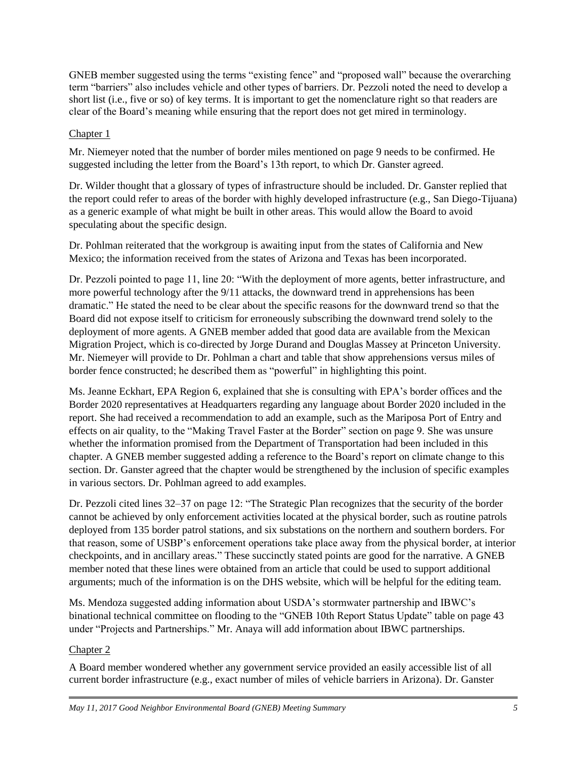GNEB member suggested using the terms "existing fence" and "proposed wall" because the overarching term "barriers" also includes vehicle and other types of barriers. Dr. Pezzoli noted the need to develop a short list (i.e., five or so) of key terms. It is important to get the nomenclature right so that readers are clear of the Board's meaning while ensuring that the report does not get mired in terminology.

# Chapter 1

Mr. Niemeyer noted that the number of border miles mentioned on page 9 needs to be confirmed. He suggested including the letter from the Board's 13th report, to which Dr. Ganster agreed.

Dr. Wilder thought that a glossary of types of infrastructure should be included. Dr. Ganster replied that the report could refer to areas of the border with highly developed infrastructure (e.g., San Diego-Tijuana) as a generic example of what might be built in other areas. This would allow the Board to avoid speculating about the specific design.

Dr. Pohlman reiterated that the workgroup is awaiting input from the states of California and New Mexico; the information received from the states of Arizona and Texas has been incorporated.

Dr. Pezzoli pointed to page 11, line 20: "With the deployment of more agents, better infrastructure, and more powerful technology after the 9/11 attacks, the downward trend in apprehensions has been dramatic." He stated the need to be clear about the specific reasons for the downward trend so that the Board did not expose itself to criticism for erroneously subscribing the downward trend solely to the deployment of more agents. A GNEB member added that good data are available from the Mexican Migration Project, which is co-directed by Jorge Durand and Douglas Massey at Princeton University. Mr. Niemeyer will provide to Dr. Pohlman a chart and table that show apprehensions versus miles of border fence constructed; he described them as "powerful" in highlighting this point.

Ms. Jeanne Eckhart, EPA Region 6, explained that she is consulting with EPA's border offices and the Border 2020 representatives at Headquarters regarding any language about Border 2020 included in the report. She had received a recommendation to add an example, such as the Mariposa Port of Entry and effects on air quality, to the "Making Travel Faster at the Border" section on page 9. She was unsure whether the information promised from the Department of Transportation had been included in this chapter. A GNEB member suggested adding a reference to the Board's report on climate change to this section. Dr. Ganster agreed that the chapter would be strengthened by the inclusion of specific examples in various sectors. Dr. Pohlman agreed to add examples.

Dr. Pezzoli cited lines 32–37 on page 12: "The Strategic Plan recognizes that the security of the border cannot be achieved by only enforcement activities located at the physical border, such as routine patrols deployed from 135 border patrol stations, and six substations on the northern and southern borders. For that reason, some of USBP's enforcement operations take place away from the physical border, at interior checkpoints, and in ancillary areas." These succinctly stated points are good for the narrative. A GNEB member noted that these lines were obtained from an article that could be used to support additional arguments; much of the information is on the DHS website, which will be helpful for the editing team.

Ms. Mendoza suggested adding information about USDA's stormwater partnership and IBWC's binational technical committee on flooding to the "GNEB 10th Report Status Update" table on page 43 under "Projects and Partnerships." Mr. Anaya will add information about IBWC partnerships.

# Chapter 2

A Board member wondered whether any government service provided an easily accessible list of all current border infrastructure (e.g., exact number of miles of vehicle barriers in Arizona). Dr. Ganster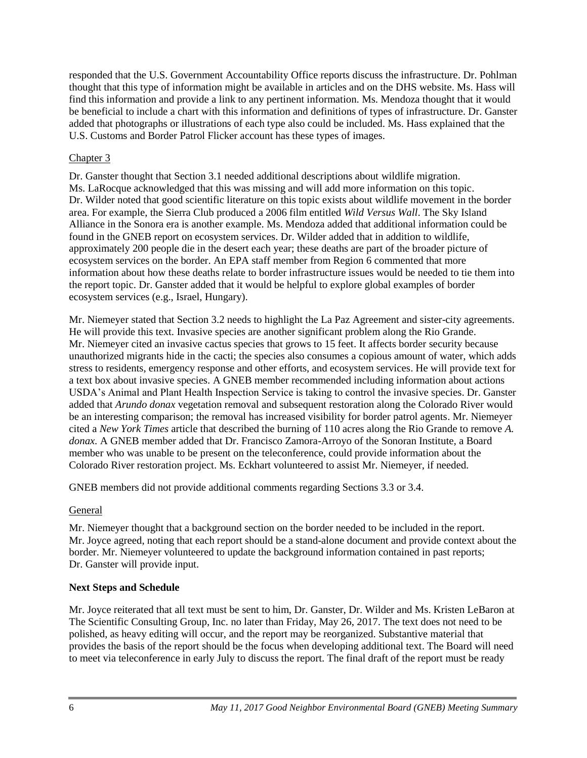responded that the U.S. Government Accountability Office reports discuss the infrastructure. Dr. Pohlman thought that this type of information might be available in articles and on the DHS website. Ms. Hass will find this information and provide a link to any pertinent information. Ms. Mendoza thought that it would be beneficial to include a chart with this information and definitions of types of infrastructure. Dr. Ganster added that photographs or illustrations of each type also could be included. Ms. Hass explained that the U.S. Customs and Border Patrol Flicker account has these types of images.

# Chapter 3

Dr. Ganster thought that Section 3.1 needed additional descriptions about wildlife migration. Ms. LaRocque acknowledged that this was missing and will add more information on this topic. Dr. Wilder noted that good scientific literature on this topic exists about wildlife movement in the border area. For example, the Sierra Club produced a 2006 film entitled *Wild Versus Wall*. The Sky Island Alliance in the Sonora era is another example. Ms. Mendoza added that additional information could be found in the GNEB report on ecosystem services. Dr. Wilder added that in addition to wildlife, approximately 200 people die in the desert each year; these deaths are part of the broader picture of ecosystem services on the border. An EPA staff member from Region 6 commented that more information about how these deaths relate to border infrastructure issues would be needed to tie them into the report topic. Dr. Ganster added that it would be helpful to explore global examples of border ecosystem services (e.g., Israel, Hungary).

Mr. Niemeyer stated that Section 3.2 needs to highlight the La Paz Agreement and sister-city agreements. He will provide this text. Invasive species are another significant problem along the Rio Grande. Mr. Niemeyer cited an invasive cactus species that grows to 15 feet. It affects border security because unauthorized migrants hide in the cacti; the species also consumes a copious amount of water, which adds stress to residents, emergency response and other efforts, and ecosystem services. He will provide text for a text box about invasive species. A GNEB member recommended including information about actions USDA's Animal and Plant Health Inspection Service is taking to control the invasive species. Dr. Ganster added that *Arundo donax* vegetation removal and subsequent restoration along the Colorado River would be an interesting comparison; the removal has increased visibility for border patrol agents. Mr. Niemeyer cited a *New York Times* article that described the burning of 110 acres along the Rio Grande to remove *A. donax.* A GNEB member added that Dr. Francisco Zamora-Arroyo of the Sonoran Institute, a Board member who was unable to be present on the teleconference, could provide information about the Colorado River restoration project. Ms. Eckhart volunteered to assist Mr. Niemeyer, if needed.

GNEB members did not provide additional comments regarding Sections 3.3 or 3.4.

# General

Mr. Niemeyer thought that a background section on the border needed to be included in the report. Mr. Joyce agreed, noting that each report should be a stand-alone document and provide context about the border. Mr. Niemeyer volunteered to update the background information contained in past reports; Dr. Ganster will provide input.

# **Next Steps and Schedule**

Mr. Joyce reiterated that all text must be sent to him, Dr. Ganster, Dr. Wilder and Ms. Kristen LeBaron at The Scientific Consulting Group, Inc. no later than Friday, May 26, 2017. The text does not need to be polished, as heavy editing will occur, and the report may be reorganized. Substantive material that provides the basis of the report should be the focus when developing additional text. The Board will need to meet via teleconference in early July to discuss the report. The final draft of the report must be ready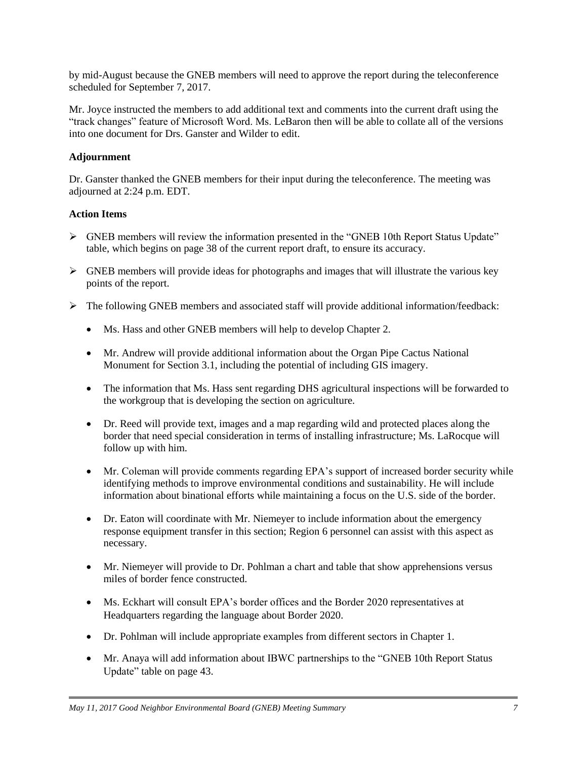by mid-August because the GNEB members will need to approve the report during the teleconference scheduled for September 7, 2017.

Mr. Joyce instructed the members to add additional text and comments into the current draft using the "track changes" feature of Microsoft Word. Ms. LeBaron then will be able to collate all of the versions into one document for Drs. Ganster and Wilder to edit.

# **Adjournment**

Dr. Ganster thanked the GNEB members for their input during the teleconference. The meeting was adjourned at 2:24 p.m. EDT.

# **Action Items**

- GNEB members will review the information presented in the "GNEB 10th Report Status Update" table, which begins on page 38 of the current report draft, to ensure its accuracy.
- $\triangleright$  GNEB members will provide ideas for photographs and images that will illustrate the various key points of the report.
- $\triangleright$  The following GNEB members and associated staff will provide additional information/feedback:
	- Ms. Hass and other GNEB members will help to develop Chapter 2.
	- Mr. Andrew will provide additional information about the Organ Pipe Cactus National Monument for Section 3.1, including the potential of including GIS imagery.
	- The information that Ms. Hass sent regarding DHS agricultural inspections will be forwarded to the workgroup that is developing the section on agriculture.
	- Dr. Reed will provide text, images and a map regarding wild and protected places along the border that need special consideration in terms of installing infrastructure; Ms. LaRocque will follow up with him.
	- Mr. Coleman will provide comments regarding EPA's support of increased border security while identifying methods to improve environmental conditions and sustainability. He will include information about binational efforts while maintaining a focus on the U.S. side of the border.
	- Dr. Eaton will coordinate with Mr. Niemeyer to include information about the emergency response equipment transfer in this section; Region 6 personnel can assist with this aspect as necessary.
	- Mr. Niemeyer will provide to Dr. Pohlman a chart and table that show apprehensions versus miles of border fence constructed.
	- Ms. Eckhart will consult EPA's border offices and the Border 2020 representatives at Headquarters regarding the language about Border 2020.
	- Dr. Pohlman will include appropriate examples from different sectors in Chapter 1.
	- Mr. Anaya will add information about IBWC partnerships to the "GNEB 10th Report Status" Update" table on page 43.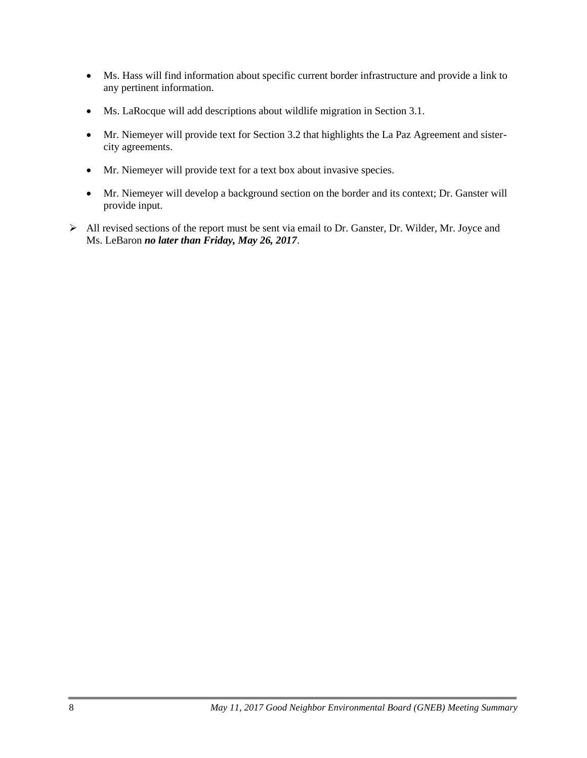- Ms. Hass will find information about specific current border infrastructure and provide a link to any pertinent information.
- Ms. LaRocque will add descriptions about wildlife migration in Section 3.1.
- Mr. Niemeyer will provide text for Section 3.2 that highlights the La Paz Agreement and sistercity agreements.
- Mr. Niemeyer will provide text for a text box about invasive species.
- Mr. Niemeyer will develop a background section on the border and its context; Dr. Ganster will provide input.
- All revised sections of the report must be sent via email to Dr. Ganster, Dr. Wilder, Mr. Joyce and Ms. LeBaron *no later than Friday, May 26, 2017*.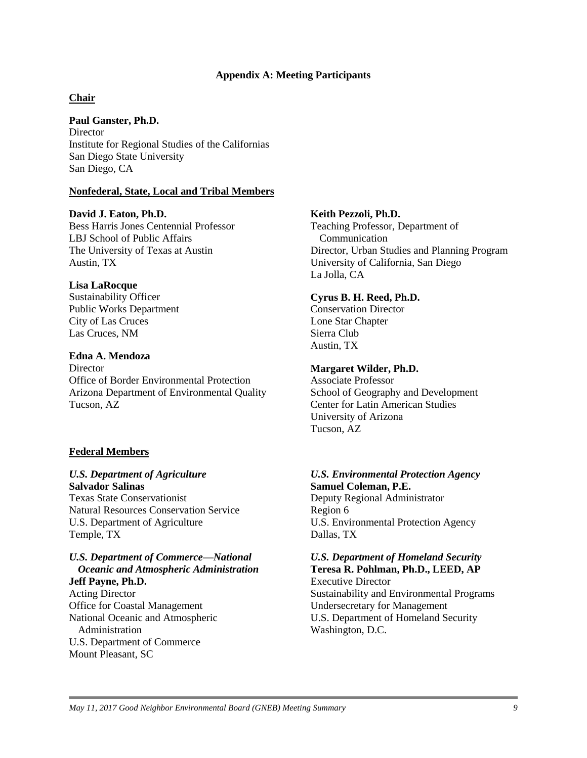#### **Appendix A: Meeting Participants**

### **Chair**

**Paul Ganster, Ph.D. Director** 

Institute for Regional Studies of the Californias San Diego State University San Diego, CA

#### **Nonfederal, State, Local and Tribal Members**

#### **David J. Eaton, Ph.D.**

Bess Harris Jones Centennial Professor LBJ School of Public Affairs The University of Texas at Austin Austin, TX

#### **Lisa LaRocque**

Sustainability Officer Public Works Department City of Las Cruces Las Cruces, NM

#### **Edna A. Mendoza**

**Director** Office of Border Environmental Protection Arizona Department of Environmental Quality Tucson, AZ

#### **Federal Members**

#### *U.S. Department of Agriculture* **Salvador Salinas**

Texas State Conservationist Natural Resources Conservation Service U.S. Department of Agriculture Temple, TX

#### *U.S. Department of Commerce—National Oceanic and Atmospheric Administration*

**Jeff Payne, Ph.D.** Acting Director Office for Coastal Management National Oceanic and Atmospheric Administration U.S. Department of Commerce Mount Pleasant, SC

### **Keith Pezzoli, Ph.D.**

Teaching Professor, Department of Communication Director, Urban Studies and Planning Program University of California, San Diego La Jolla, CA

#### **Cyrus B. H. Reed, Ph.D.**

Conservation Director Lone Star Chapter Sierra Club Austin, TX

#### **Margaret Wilder, Ph.D.**

Associate Professor School of Geography and Development Center for Latin American Studies University of Arizona Tucson, AZ

### *U.S. Environmental Protection Agency* **Samuel Coleman, P.E.**

Deputy Regional Administrator Region 6 U.S. Environmental Protection Agency Dallas, TX

# *U.S. Department of Homeland Security*  **Teresa R. Pohlman, Ph.D., LEED, AP**

Executive Director Sustainability and Environmental Programs Undersecretary for Management U.S. Department of Homeland Security Washington, D.C.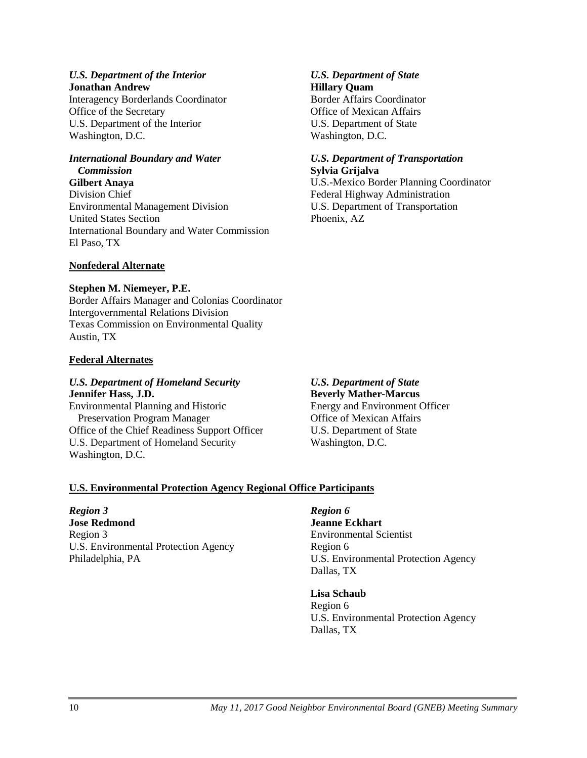#### *U.S. Department of the Interior* **Jonathan Andrew**

Interagency Borderlands Coordinator Office of the Secretary U.S. Department of the Interior Washington, D.C.

# *International Boundary and Water*

# *Commission*

**Gilbert Anaya** Division Chief Environmental Management Division United States Section International Boundary and Water Commission El Paso, TX

# **Nonfederal Alternate**

### **Stephen M. Niemeyer, P.E.**

Border Affairs Manager and Colonias Coordinator Intergovernmental Relations Division Texas Commission on Environmental Quality Austin, TX

### **Federal Alternates**

# *U.S. Department of Homeland Security* **Jennifer Hass, J.D.**

Environmental Planning and Historic Preservation Program Manager Office of the Chief Readiness Support Officer U.S. Department of Homeland Security Washington, D.C.

*U.S. Department of State* **Beverly Mather-Marcus** Energy and Environment Officer Office of Mexican Affairs U.S. Department of State Washington, D.C.

*U.S. Department of State*

Border Affairs Coordinator Office of Mexican Affairs U.S. Department of State

*U.S. Department of Transportation*

Federal Highway Administration U.S. Department of Transportation

U.S.-Mexico Border Planning Coordinator

**Hillary Quam**

Washington, D.C.

**Sylvia Grijalva**

Phoenix, AZ

# **U.S. Environmental Protection Agency Regional Office Participants**

#### *Region 3*

**Jose Redmond** Region 3 U.S. Environmental Protection Agency Philadelphia, PA

### *Region 6*

**Jeanne Eckhart** Environmental Scientist Region 6 U.S. Environmental Protection Agency Dallas, TX

### **Lisa Schaub**

Region 6 U.S. Environmental Protection Agency Dallas, TX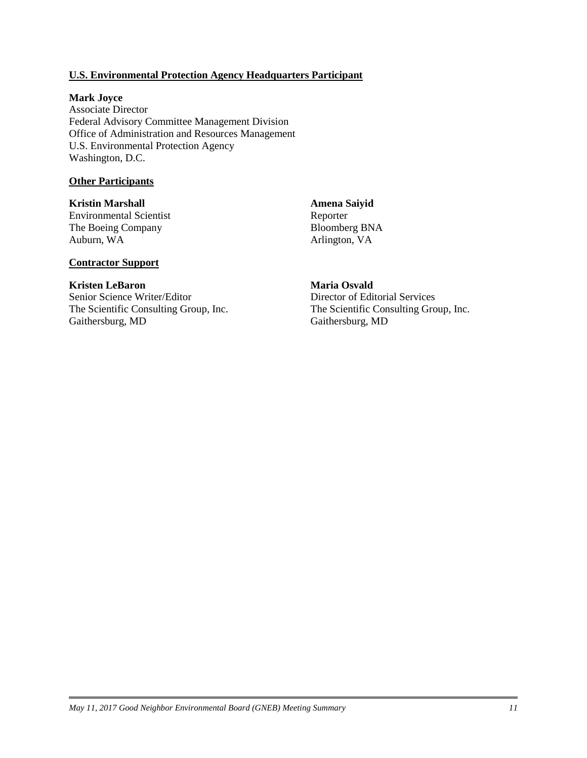### **U.S. Environmental Protection Agency Headquarters Participant**

#### **Mark Joyce**

Associate Director Federal Advisory Committee Management Division Office of Administration and Resources Management U.S. Environmental Protection Agency Washington, D.C.

#### **Other Participants**

**Kristin Marshall** Environmental Scientist The Boeing Company Auburn, WA

**Amena Saiyid** Reporter Bloomberg BNA Arlington, VA

### **Contractor Support**

#### **Kristen LeBaron**

Senior Science Writer/Editor The Scientific Consulting Group, Inc. Gaithersburg, MD

# **Maria Osvald**

Director of Editorial Services The Scientific Consulting Group, Inc. Gaithersburg, MD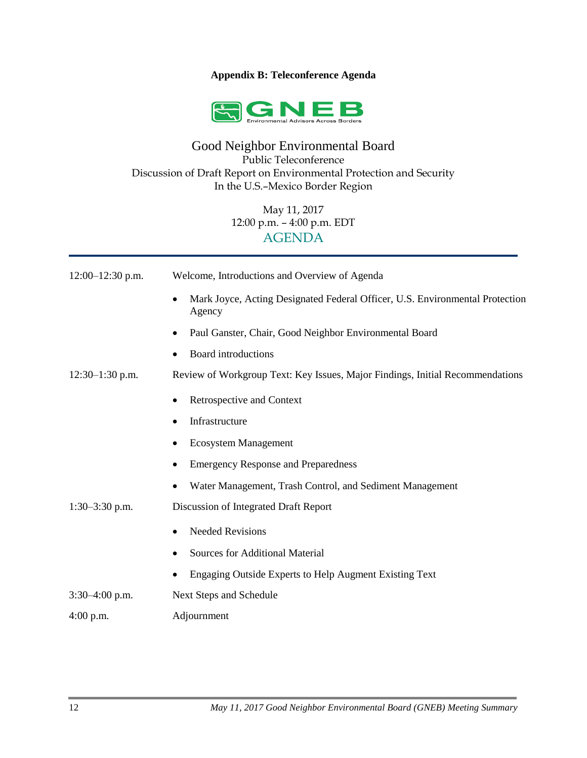### **Appendix B: Teleconference Agenda**



# Good Neighbor Environmental Board Public Teleconference Discussion of Draft Report on Environmental Protection and Security In the U.S.–Mexico Border Region

May 11, 2017 12:00 p.m. – 4:00 p.m. EDT AGENDA

| $12:00-12:30$ p.m. | Welcome, Introductions and Overview of Agenda                                          |
|--------------------|----------------------------------------------------------------------------------------|
|                    | Mark Joyce, Acting Designated Federal Officer, U.S. Environmental Protection<br>Agency |
|                    | Paul Ganster, Chair, Good Neighbor Environmental Board<br>٠                            |
|                    | Board introductions<br>$\bullet$                                                       |
| $12:30-1:30$ p.m.  | Review of Workgroup Text: Key Issues, Major Findings, Initial Recommendations          |
|                    | Retrospective and Context                                                              |
|                    | Infrastructure                                                                         |
|                    | <b>Ecosystem Management</b><br>$\bullet$                                               |
|                    | <b>Emergency Response and Preparedness</b><br>٠                                        |
|                    | Water Management, Trash Control, and Sediment Management<br>٠                          |
| $1:30-3:30$ p.m.   | Discussion of Integrated Draft Report                                                  |
|                    | <b>Needed Revisions</b><br>٠                                                           |
|                    | <b>Sources for Additional Material</b>                                                 |
|                    | Engaging Outside Experts to Help Augment Existing Text                                 |
| $3:30-4:00$ p.m.   | Next Steps and Schedule                                                                |
| $4:00$ p.m.        | Adjournment                                                                            |